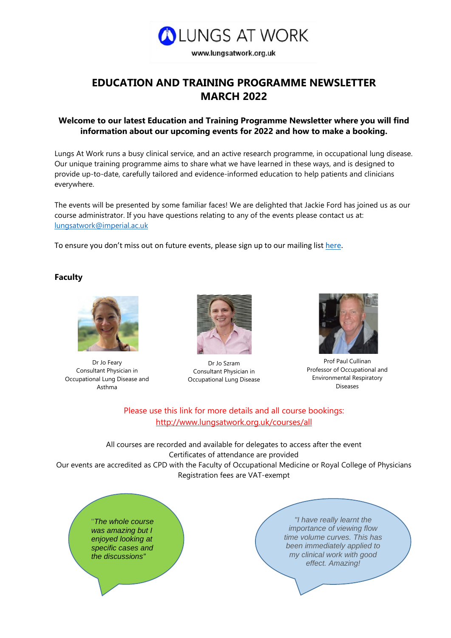

# **EDUCATION AND TRAINING PROGRAMME NEWSLETTER MARCH 2022**

### **Welcome to our latest Education and Training Programme Newsletter where you will find information about our upcoming events for 2022 and how to make a booking.**

Lungs At Work runs a busy clinical service, and an active research programme, in occupational lung disease. Our unique training programme aims to share what we have learned in these ways, and is designed to provide up-to-date, carefully tailored and evidence-informed education to help patients and clinicians everywhere.

The events will be presented by some familiar faces! We are delighted that Jackie Ford has joined us as our course administrator. If you have questions relating to any of the events please contact us at: [lungsatwork@imperial.ac.uk](mailto:lungsatwork@imperial.ac.uk)

To ensure you don't miss out on future events, please sign up to our mailing lis[t here.](https://imperial.eu.qualtrics.com/jfe/form/SV_1HWcfSpbfTvtKeN)

#### **Faculty**



Dr Jo Feary Consultant Physician in Occupational Lung Disease and Asthma



Dr Jo Szram Consultant Physician in Occupational Lung Disease



Prof Paul Cullinan Professor of Occupational and Environmental Respiratory Diseases

Please use this link for more details and all course bookings: <http://www.lungsatwork.org.uk/courses/all>

All courses are recorded and available for delegates to access after the event Certificates of attendance are provided Our events are accredited as CPD with the Faculty of Occupational Medicine or Royal College of Physicians Registration fees are VAT-exempt

"*The whole course was amazing but I enjoyed looking at specific cases and the discussions"* 

*"I have really learnt the importance of viewing flow time volume curves. This has been immediately applied to my clinical work with good effect. Amazing!*